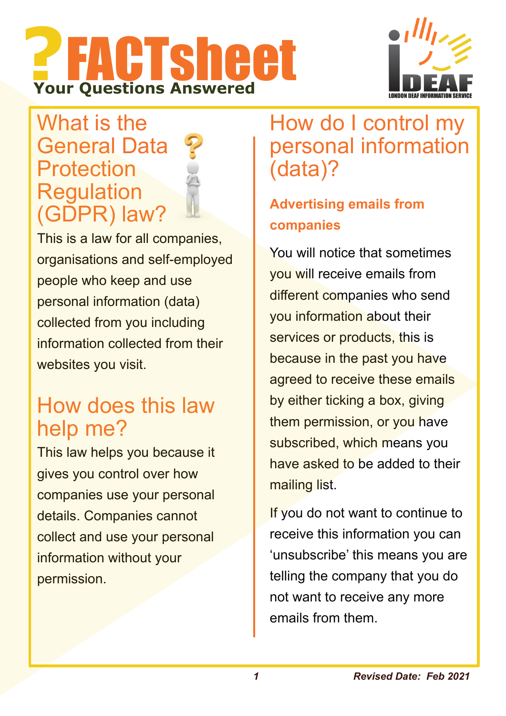# **?**FACTsheet **Your Questions Answered**



## What is the General Data Protection Regulation (GDPR) law?

This is a law for all companies, organisations and self-employed people who keep and use personal information (data) collected from you including information collected from their websites you visit.

## How does this law help me?

This law helps you because it gives you control over how companies use your personal details. Companies cannot collect and use your personal information without your permission.

## How do I control my personal information (data)?

### **Advertising emails from companies**

You will notice that sometimes you will receive emails from different companies who send you information about their services or products, this is because in the past you have agreed to receive these emails by either ticking a box, giving them permission, or you have subscribed, which means you have asked to be added to their mailing list.

If you do not want to continue to receive this information you can 'unsubscribe' this means you are telling the company that you do not want to receive any more emails from them.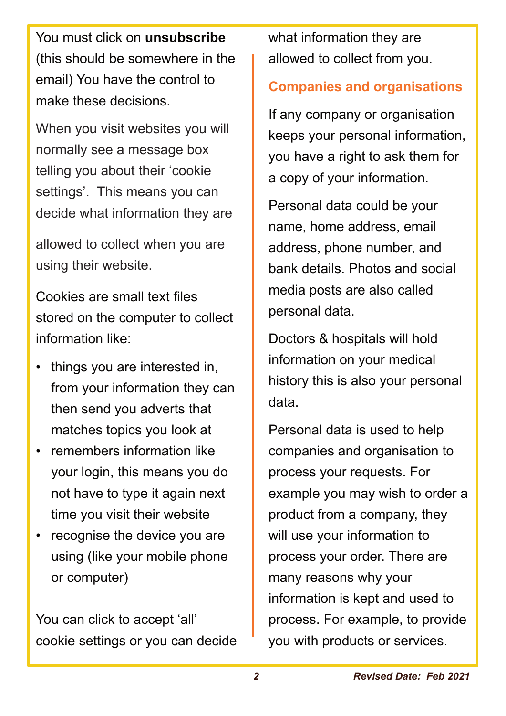You must click on **unsubscribe** (this should be somewhere in the email) You have the control to make these decisions.

When you visit websites you will normally see a message box telling you about their 'cookie settings'. This means you can decide what information they are

allowed to collect when you are using their website.

Cookies are small text files stored on the computer to collect information like:

- things you are interested in, from your information they can then send you adverts that matches topics you look at
- remembers information like your login, this means you do not have to type it again next time you visit their website
- recognise the device you are using (like your mobile phone or computer)

You can click to accept 'all' cookie settings or you can decide what information they are allowed to collect from you.

#### **Companies and organisations**

If any company or organisation keeps your personal information, you have a right to ask them for a copy of your information.

Personal data could be your name, home address, email address, phone number, and bank details. Photos and social media posts are also called personal data.

Doctors & hospitals will hold information on your medical history this is also your personal data.

Personal data is used to help companies and organisation to process your requests. For example you may wish to order a product from a company, they will use your information to process your order. There are many reasons why your information is kept and used to process. For example, to provide you with products or services.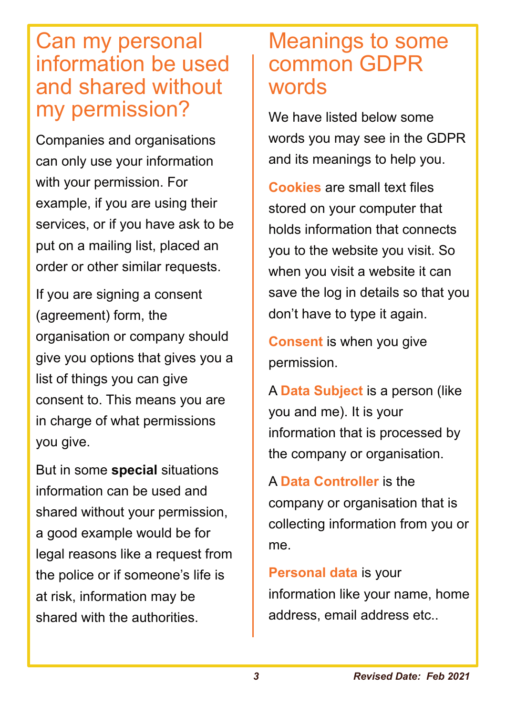## Can my personal information be used and shared without my permission?

Companies and organisations can only use your information with your permission. For example, if you are using their services, or if you have ask to be put on a mailing list, placed an order or other similar requests.

If you are signing a consent (agreement) form, the organisation or company should give you options that gives you a list of things you can give consent to. This means you are in charge of what permissions you give.

But in some **special** situations information can be used and shared without your permission, a good example would be for legal reasons like a request from the police or if someone's life is at risk, information may be shared with the authorities.

## Meanings to some common GDPR words

We have listed below some words you may see in the GDPR and its meanings to help you.

**Cookies** are small text files stored on your computer that holds information that connects you to the website you visit. So when you visit a website it can save the log in details so that you don't have to type it again.

**Consent** is when you give permission.

A **Data Subject** is a person (like you and me). It is your information that is processed by the company or organisation.

A **Data Controller** is the company or organisation that is collecting information from you or me.

**Personal data** is your information like your name, home address, email address etc..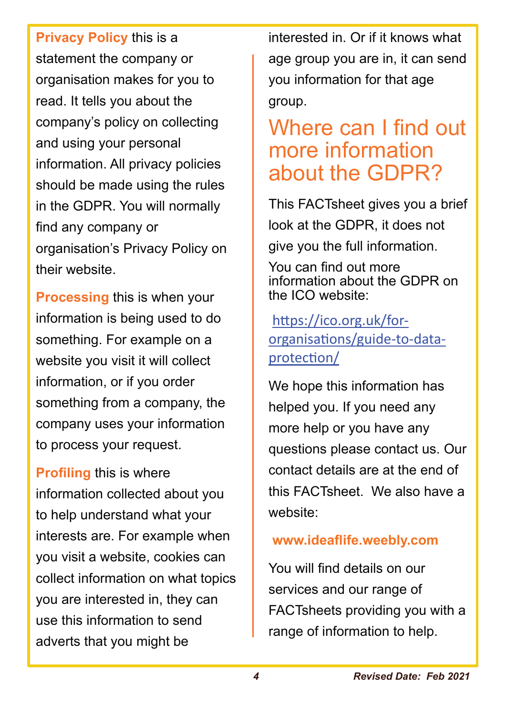**Privacy Policy** this is a statement the company or organisation makes for you to read. It tells you about the company's policy on collecting and using your personal information. All privacy policies should be made using the rules in the GDPR. You will normally find any company or organisation's Privacy Policy on their website.

**Processing** this is when your information is being used to do something. For example on a website you visit it will collect information, or if you order something from a company, the company uses your information to process your request.

**Profiling** this is where information collected about you to help understand what your interests are. For example when you visit a website, cookies can collect information on what topics you are interested in, they can use this information to send adverts that you might be

interested in. Or if it knows what age group you are in, it can send you information for that age group.

## Where can I find out more information about the GDPR?

This FACTsheet gives you a brief look at the GDPR, it does not give you the full information.

You can find out more information about the GDPR on the ICO website:

https://ico.org.uk/fororganisations/guide-to-dataprotection/

We hope this information has helped you. If you need any more help or you have any questions please contact us. Our contact details are at the end of this FACTsheet. We also have a website:

#### **www.ideaflife.weebly.com**

You will find details on our services and our range of FACTsheets providing you with a range of information to help.